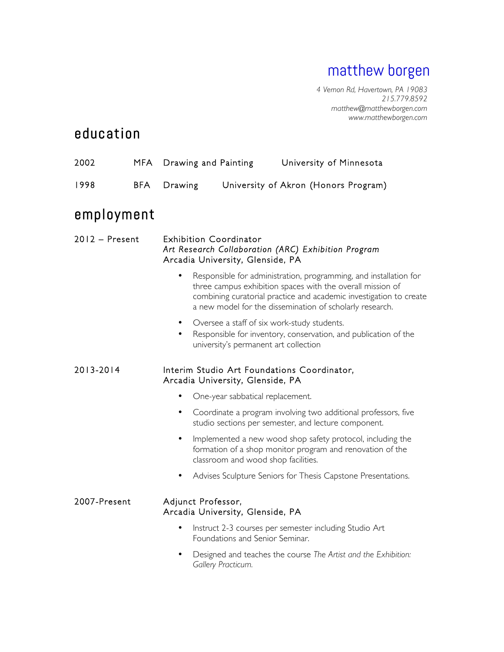# matthew borgen

*4 Vernon Rd, Havertown, PA 19083 215.779.8592 matthew@matthewborgen.com www.matthewborgen.com*

## education

| 2002             | <b>MFA</b> |                        | Drawing and Painting                                              | University of Minnesota                                                                                                                                                                                                                                           |  |
|------------------|------------|------------------------|-------------------------------------------------------------------|-------------------------------------------------------------------------------------------------------------------------------------------------------------------------------------------------------------------------------------------------------------------|--|
| 1998             | <b>BFA</b> | Drawing                |                                                                   | University of Akron (Honors Program)                                                                                                                                                                                                                              |  |
| employment       |            |                        |                                                                   |                                                                                                                                                                                                                                                                   |  |
| $2012 -$ Present |            |                        | <b>Exhibition Coordinator</b><br>Arcadia University, Glenside, PA | Art Research Collaboration (ARC) Exhibition Program                                                                                                                                                                                                               |  |
|                  |            | ٠                      |                                                                   | Responsible for administration, programming, and installation for<br>three campus exhibition spaces with the overall mission of<br>combining curatorial practice and academic investigation to create<br>a new model for the dissemination of scholarly research. |  |
|                  |            | $\bullet$<br>$\bullet$ | university's permanent art collection                             | Oversee a staff of six work-study students.<br>Responsible for inventory, conservation, and publication of the                                                                                                                                                    |  |
| 2013-2014        |            |                        | Arcadia University, Glenside, PA                                  | Interim Studio Art Foundations Coordinator,                                                                                                                                                                                                                       |  |
|                  |            | $\bullet$              | One-year sabbatical replacement.                                  |                                                                                                                                                                                                                                                                   |  |
|                  |            | ٠                      |                                                                   | Coordinate a program involving two additional professors, five<br>studio sections per semester, and lecture component.                                                                                                                                            |  |
|                  |            | $\bullet$              | classroom and wood shop facilities.                               | Implemented a new wood shop safety protocol, including the<br>formation of a shop monitor program and renovation of the                                                                                                                                           |  |
|                  |            |                        |                                                                   | Advises Sculpture Seniors for Thesis Capstone Presentations.                                                                                                                                                                                                      |  |
| 2007-Present     |            | Adjunct Professor,     | Arcadia University, Glenside, PA                                  |                                                                                                                                                                                                                                                                   |  |
|                  |            | $\bullet$              | Foundations and Senior Seminar.                                   | Instruct 2-3 courses per semester including Studio Art                                                                                                                                                                                                            |  |
|                  |            |                        | Gallery Practicum.                                                | Designed and teaches the course The Artist and the Exhibition:                                                                                                                                                                                                    |  |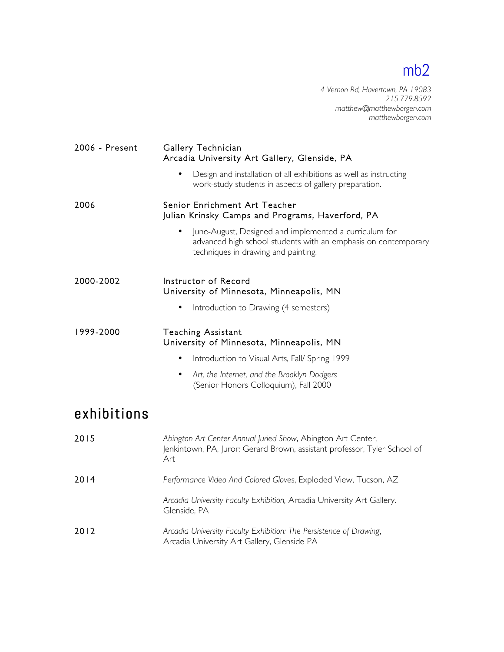*4 Vernon Rd, Havertown, PA 19083 215.779.8592 matthew@matthewborgen.com matthewborgen.com*

| 2006 - Present | Gallery Technician<br>Arcadia University Art Gallery, Glenside, PA                                                                                                           |  |  |
|----------------|------------------------------------------------------------------------------------------------------------------------------------------------------------------------------|--|--|
|                | Design and installation of all exhibitions as well as instructing<br>work-study students in aspects of gallery preparation.                                                  |  |  |
| 2006           | Senior Enrichment Art Teacher<br>Julian Krinsky Camps and Programs, Haverford, PA                                                                                            |  |  |
|                | June-August, Designed and implemented a curriculum for<br>$\bullet$<br>advanced high school students with an emphasis on contemporary<br>techniques in drawing and painting. |  |  |
| 2000-2002      | Instructor of Record<br>University of Minnesota, Minneapolis, MN                                                                                                             |  |  |
|                | Introduction to Drawing (4 semesters)<br>$\bullet$                                                                                                                           |  |  |
| 1999-2000      | <b>Teaching Assistant</b><br>University of Minnesota, Minneapolis, MN                                                                                                        |  |  |
|                | Introduction to Visual Arts, Fall/ Spring 1999<br>$\bullet$                                                                                                                  |  |  |
|                | Art, the Internet, and the Brooklyn Dodgers<br>$\bullet$<br>(Senior Honors Colloquium), Fall 2000                                                                            |  |  |
| exhibitions    |                                                                                                                                                                              |  |  |
| 2015           | Abington Art Center Annual Juried Show, Abington Art Center,<br>Jenkintown, PA, Juror: Gerard Brown, assistant professor, Tyler School of<br>Art                             |  |  |
| 2014           | Performance Video And Colored Gloves, Exploded View, Tucson, AZ                                                                                                              |  |  |
|                | Arcadia University Faculty Exhibition, Arcadia University Art Gallery.<br>Glenside, PA                                                                                       |  |  |
| 2012           | Arcadia University Faculty Exhibition: The Persistence of Drawing,<br>Arcadia University Art Gallery, Glenside PA                                                            |  |  |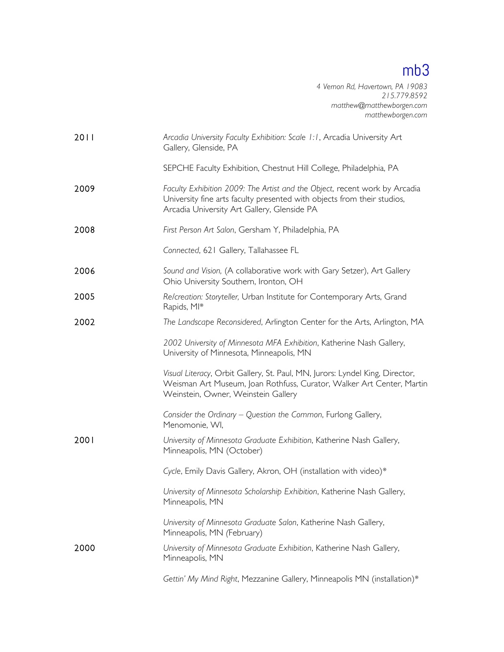*4 Vernon Rd, Havertown, PA 19083 215.779.8592 matthew@matthewborgen.com matthewborgen.com*

| 2011 | Arcadia University Faculty Exhibition: Scale 1:1, Arcadia University Art<br>Gallery, Glenside, PA                                                                                                    |
|------|------------------------------------------------------------------------------------------------------------------------------------------------------------------------------------------------------|
|      | SEPCHE Faculty Exhibition, Chestnut Hill College, Philadelphia, PA                                                                                                                                   |
| 2009 | Faculty Exhibition 2009: The Artist and the Object, recent work by Arcadia<br>University fine arts faculty presented with objects from their studios,<br>Arcadia University Art Gallery, Glenside PA |
| 2008 | First Person Art Salon, Gersham Y, Philadelphia, PA                                                                                                                                                  |
|      | Connected, 621 Gallery, Tallahassee FL                                                                                                                                                               |
| 2006 | Sound and Vision, (A collaborative work with Gary Setzer), Art Gallery<br>Ohio University Southern, Ironton, OH                                                                                      |
| 2005 | Re/creation: Storyteller, Urban Institute for Contemporary Arts, Grand<br>Rapids, MI*                                                                                                                |
| 2002 | The Landscape Reconsidered, Arlington Center for the Arts, Arlington, MA                                                                                                                             |
|      | 2002 University of Minnesota MFA Exhibition, Katherine Nash Gallery,<br>University of Minnesota, Minneapolis, MN                                                                                     |
|      | Visual Literacy, Orbit Gallery, St. Paul, MN, Jurors: Lyndel King, Director,<br>Weisman Art Museum, Joan Rothfuss, Curator, Walker Art Center, Martin<br>Weinstein, Owner, Weinstein Gallery         |
|      | Consider the Ordinary - Question the Common, Furlong Gallery,<br>Menomonie, WI,                                                                                                                      |
| 2001 | University of Minnesota Graduate Exhibition, Katherine Nash Gallery,<br>Minneapolis, MN (October)                                                                                                    |
|      | Cycle, Emily Davis Gallery, Akron, OH (installation with video)*                                                                                                                                     |
|      | University of Minnesota Scholarship Exhibition, Katherine Nash Gallery,<br>Minneapolis, MN                                                                                                           |
|      | University of Minnesota Graduate Salon, Katherine Nash Gallery,<br>Minneapolis, MN (February)                                                                                                        |
| 2000 | University of Minnesota Graduate Exhibition, Katherine Nash Gallery,<br>Minneapolis, MN                                                                                                              |
|      | Gettin' My Mind Right, Mezzanine Gallery, Minneapolis MN (installation)*                                                                                                                             |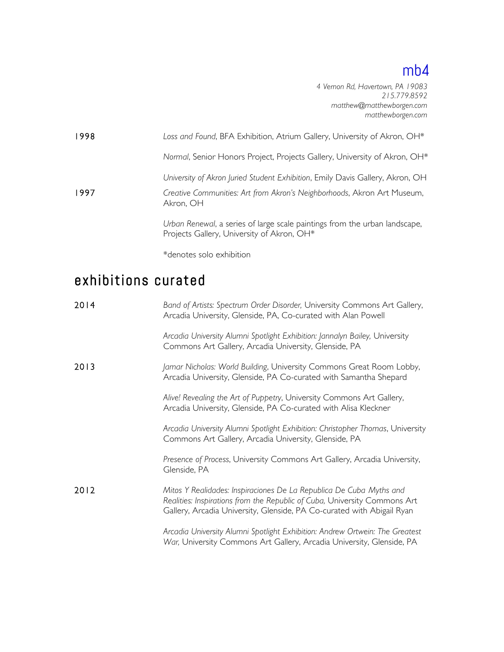*4 Vernon Rd, Havertown, PA 19083 215.779.8592 matthew@matthewborgen.com matthewborgen.com*

| 1998 | Loss and Found, BFA Exhibition, Atrium Gallery, University of Akron, OH*                                                 |
|------|--------------------------------------------------------------------------------------------------------------------------|
|      | Normal, Senior Honors Project, Projects Gallery, University of Akron, OH*                                                |
|      | University of Akron Juried Student Exhibition, Emily Davis Gallery, Akron, OH                                            |
| 1997 | Creative Communities: Art from Akron's Neighborhoods, Akron Art Museum,<br>Akron, OH                                     |
|      | Urban Renewal, a series of large scale paintings from the urban landscape,<br>Projects Gallery, University of Akron, OH* |
|      | *denotes solo exhibition                                                                                                 |

exhibitions curated

| 2014 | Band of Artists: Spectrum Order Disorder, University Commons Art Gallery,<br>Arcadia University, Glenside, PA, Co-curated with Alan Powell                                                                                 |  |  |
|------|----------------------------------------------------------------------------------------------------------------------------------------------------------------------------------------------------------------------------|--|--|
|      | Arcadia University Alumni Spotlight Exhibition: Jannalyn Bailey, University<br>Commons Art Gallery, Arcadia University, Glenside, PA                                                                                       |  |  |
| 2013 | Jamar Nicholas: World Building, University Commons Great Room Lobby,<br>Arcadia University, Glenside, PA Co-curated with Samantha Shepard                                                                                  |  |  |
|      | Alive! Revealing the Art of Puppetry, University Commons Art Gallery,<br>Arcadia University, Glenside, PA Co-curated with Alisa Kleckner                                                                                   |  |  |
|      | Arcadia University Alumni Spotlight Exhibition: Christopher Thomas, University<br>Commons Art Gallery, Arcadia University, Glenside, PA                                                                                    |  |  |
|      | Presence of Process, University Commons Art Gallery, Arcadia University,<br>Glenside, PA                                                                                                                                   |  |  |
| 2012 | Mitos Y Realidades: Inspiraciones De La Republica De Cuba Myths and<br>Realities: Inspirations from the Republic of Cuba, University Commons Art<br>Gallery, Arcadia University, Glenside, PA Co-curated with Abigail Ryan |  |  |
|      | Arcadia University Alumni Spotlight Exhibition: Andrew Ortwein: The Greatest<br>War, University Commons Art Gallery, Arcadia University, Glenside, PA                                                                      |  |  |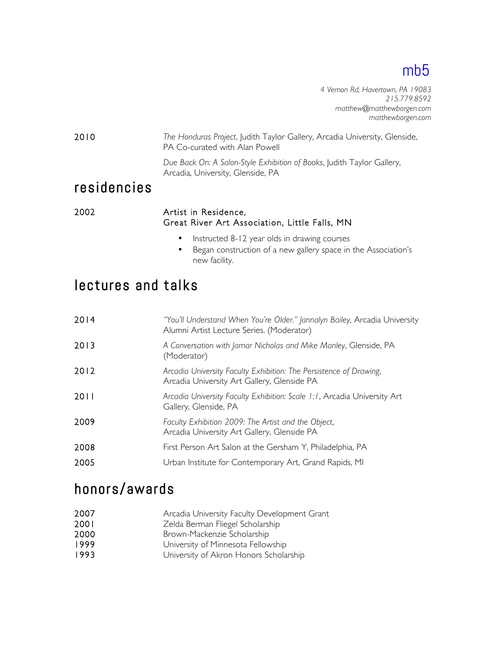*4 Vernon Rd, Havertown, PA 19083 215.779.8592 matthew@matthewborgen.com matthewborgen.com*

2010 *The Honduras Project*, Judith Taylor Gallery, Arcadia University, Glenside, PA Co-curated with Alan Powell

> *Due Back On: A Salon-Style Exhibition of Books*, Judith Taylor Gallery, Arcadia, University, Glenside, PA

### residencies

#### 2002 Artist in Residence, Great River Art Association, Little Falls, MN

- Instructed 8-12 year olds in drawing courses
- Began construction of a new gallery space in the Association's new facility.

### lectures and talks

| 2014 | "You'll Understand When You're Older." Jannalyn Bailey, Arcadia University<br>Alumni Artist Lecture Series. (Moderator) |
|------|-------------------------------------------------------------------------------------------------------------------------|
| 2013 | A Conversation with Jamar Nicholas and Mike Manley, Glenside, PA<br>(Moderator)                                         |
| 2012 | Arcadia University Faculty Exhibition: The Persistence of Drawing,<br>Arcadia University Art Gallery, Glenside PA       |
| 2011 | Arcadia University Faculty Exhibition: Scale 1:1, Arcadia University Art<br>Gallery, Glenside, PA                       |
| 2009 | Faculty Exhibition 2009: The Artist and the Object,<br>Arcadia University Art Gallery, Glenside PA                      |
| 2008 | First Person Art Salon at the Gersham Y, Philadelphia, PA                                                               |
| 2005 | Urban Institute for Contemporary Art, Grand Rapids, MI                                                                  |

### honors/awards

- 2007 **Arcadia University Faculty Development Grant**
- 2001 Zelda Berman Fliegel Scholarship
- 2000 Brown-Mackenzie Scholarship
- 1999 **University of Minnesota Fellowship**
- 1993 **University of Akron Honors Scholarship**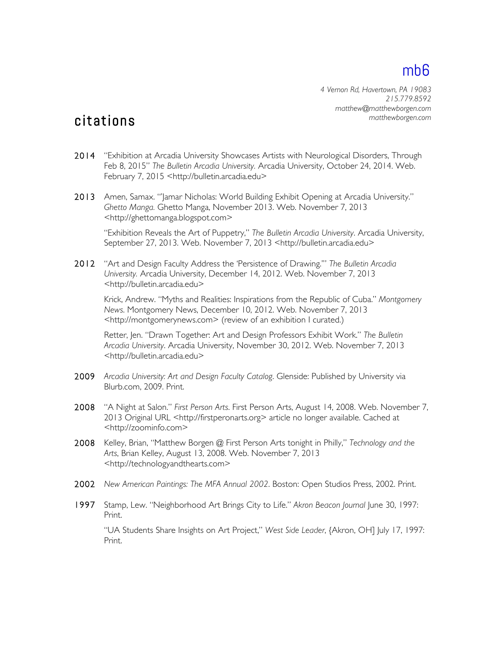*4 Vernon Rd, Havertown, PA 19083 215.779.8592 matthew@matthewborgen.com matthewborgen.com*

### citations

- 2014 "Exhibition at Arcadia University Showcases Artists with Neurological Disorders, Through Feb 8, 2015" *The Bulletin Arcadia University.* Arcadia University, October 24, 2014. Web. February 7, 2015 <http://bulletin.arcadia.edu>
- 2013 Amen, Samax. "'Jamar Nicholas: World Building Exhibit Opening at Arcadia University." *Ghetto Manga.* Ghetto Manga, November 2013. Web. November 7, 2013 <http://ghettomanga.blogspot.com>

"Exhibition Reveals the Art of Puppetry," *The Bulletin Arcadia University*. Arcadia University, September 27, 2013. Web. November 7, 2013 <http://bulletin.arcadia.edu>

2012 "Art and Design Faculty Address the 'Persistence of Drawing.'" *The Bulletin Arcadia University.* Arcadia University, December 14, 2012. Web. November 7, 2013 <http://bulletin.arcadia.edu>

Krick, Andrew. "Myths and Realities: Inspirations from the Republic of Cuba." *Montgomery News*. Montgomery News, December 10, 2012. Web. November 7, 2013 <http://montgomerynews.com> (review of an exhibition I curated.)

 Retter, Jen. "Drawn Together: Art and Design Professors Exhibit Work." *The Bulletin Arcadia University*. Arcadia University, November 30, 2012. Web. November 7, 2013 <http://bulletin.arcadia.edu>

- 2009 *Arcadia University: Art and Design Faculty Catalog*. Glenside: Published by University via Blurb.com, 2009. Print.
- 2008 "A Night at Salon." *First Person Arts*. First Person Arts, August 14, 2008. Web. November 7, 2013 Original URL <http://firstperonarts.org> article no longer available. Cached at <http://zoominfo.com>
- 2008 Kelley, Brian, "Matthew Borgen @ First Person Arts tonight in Philly," *Technology and the Arts*, Brian Kelley, August 13, 2008. Web. November 7, 2013 <http://technologyandthearts.com>
- 2002 *New American Paintings: The MFA Annual 2002*. Boston: Open Studios Press, 2002. Print.
- 1997 Stamp, Lew. "Neighborhood Art Brings City to Life." *Akron Beacon Journal* June 30, 1997: Print.

"UA Students Share Insights on Art Project," *West Side Leader*, {Akron, OH] July 17, 1997: Print.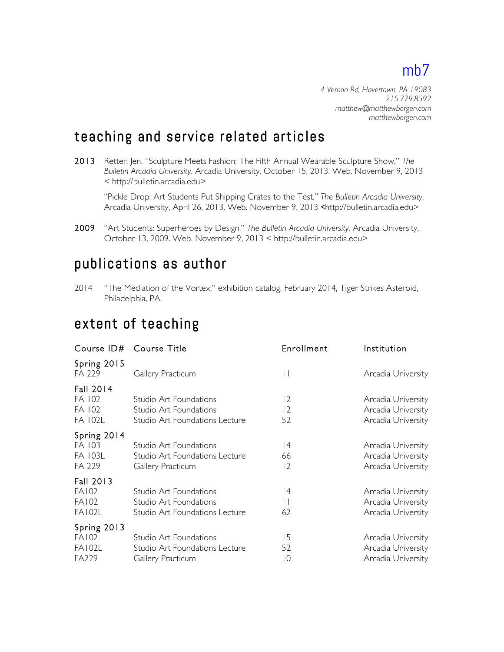*4 Vernon Rd, Havertown, PA 19083 215.779.8592 matthew@matthewborgen.com matthewborgen.com*

### teaching and service related articles

2013 Retter, Jen. "Sculpture Meets Fashion: The Fifth Annual Wearable Sculpture Show," *The Bulletin Arcadia University*. Arcadia University, October 15, 2013. Web. November 9, 2013 < http://bulletin.arcadia.edu>

"Pickle Drop: Art Students Put Shipping Crates to the Test," *The Bulletin Arcadia University*. Arcadia University, April 26, 2013. Web. November 9, 2013 <http://bulletin.arcadia.edu>

2009 "Art Students: Superheroes by Design," *The Bulletin Arcadia University.* Arcadia University, October 13, 2009. Web. November 9, 2013 < http://bulletin.arcadia.edu>

### publications as author

2014 "The Mediation of the Vortex," exhibition catalog, February 2014, Tiger Strikes Asteroid, Philadelphia, PA.

### extent of teaching

| Course ID# Course Title                                    |                                                                                    | Enrollment                             | Institution                                                    |
|------------------------------------------------------------|------------------------------------------------------------------------------------|----------------------------------------|----------------------------------------------------------------|
| Spring 2015<br>FA 229                                      | Gallery Practicum                                                                  | $\mathbf{L}$                           | Arcadia University                                             |
| Fall 2014<br>FA 102<br>FA 102<br><b>FA 102L</b>            | Studio Art Foundations<br>Studio Art Foundations<br>Studio Art Foundations Lecture | $\overline{2}$<br>$\overline{2}$<br>52 | Arcadia University<br>Arcadia University<br>Arcadia University |
| Spring 2014<br>FA 103<br>FA 103L<br>FA 229                 | Studio Art Foundations<br>Studio Art Foundations Lecture<br>Gallery Practicum      | 4<br>66<br>$\overline{2}$              | Arcadia University<br>Arcadia University<br>Arcadia University |
| Fall 2013<br><b>FA102</b><br><b>FA102</b><br><b>FA102L</b> | Studio Art Foundations<br>Studio Art Foundations<br>Studio Art Foundations Lecture | 4<br>$\perp$<br>62                     | Arcadia University<br>Arcadia University<br>Arcadia University |
| Spring 2013<br><b>FA102</b><br><b>FA102L</b><br>FA229      | Studio Art Foundations<br>Studio Art Foundations Lecture<br>Gallery Practicum      | 15<br>52<br>10                         | Arcadia University<br>Arcadia University<br>Arcadia University |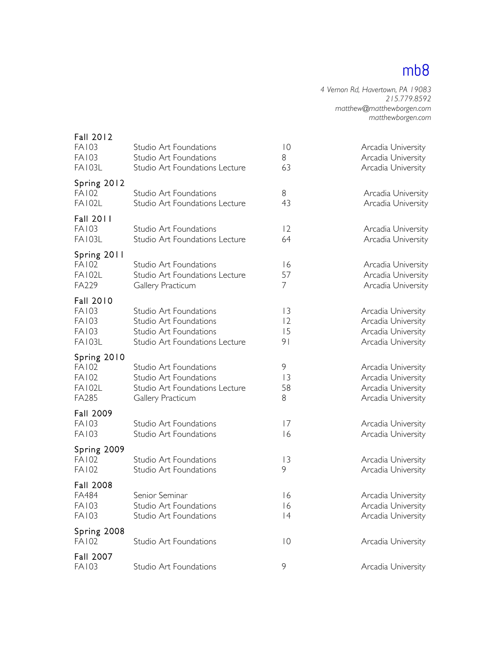*4 Vernon Rd, Havertown, PA 19083 215.779.8592 matthew@matthewborgen.com matthewborgen.com*

| Fall 2012<br><b>FA103</b><br><b>FA103</b><br><b>FA103L</b>                 | Studio Art Foundations<br>Studio Art Foundations<br>Studio Art Foundations Lecture                           | $ 0\rangle$<br>8<br>63          | Arcadia University<br>Arcadia University<br>Arcadia University                       |
|----------------------------------------------------------------------------|--------------------------------------------------------------------------------------------------------------|---------------------------------|--------------------------------------------------------------------------------------|
| Spring 2012<br><b>FA102</b><br><b>FA102L</b>                               | Studio Art Foundations<br>Studio Art Foundations Lecture                                                     | 8<br>43                         | Arcadia University<br>Arcadia University                                             |
| Fall 2011<br><b>FA103</b><br><b>FA103L</b>                                 | Studio Art Foundations<br>Studio Art Foundations Lecture                                                     | 12<br>64                        | Arcadia University<br>Arcadia University                                             |
| Spring 2011<br><b>FA102</b><br><b>FA102L</b><br>FA229                      | Studio Art Foundations<br>Studio Art Foundations Lecture<br>Gallery Practicum                                | 16<br>57<br>7                   | Arcadia University<br>Arcadia University<br>Arcadia University                       |
| Fall 2010<br><b>FA103</b><br><b>FA103</b><br><b>FA103</b><br><b>FA103L</b> | Studio Art Foundations<br>Studio Art Foundations<br>Studio Art Foundations<br>Studio Art Foundations Lecture | 3<br> 2<br>15<br>9 <sub>1</sub> | Arcadia University<br>Arcadia University<br>Arcadia University<br>Arcadia University |
| Spring 2010<br><b>FA102</b><br><b>FA102</b><br><b>FA102L</b><br>FA285      | Studio Art Foundations<br>Studio Art Foundations<br>Studio Art Foundations Lecture<br>Gallery Practicum      | 9<br> 3<br>58<br>8              | Arcadia University<br>Arcadia University<br>Arcadia University<br>Arcadia University |
| Fall 2009<br><b>FA103</b><br><b>FA103</b>                                  | Studio Art Foundations<br>Studio Art Foundations                                                             | 17<br>16                        | Arcadia University<br>Arcadia University                                             |
| Spring 2009<br><b>FA102</b><br><b>FA102</b>                                | Studio Art Foundations<br>Studio Art Foundations                                                             | 3<br>9                          | Arcadia University<br>Arcadia University                                             |
| Fall 2008<br>FA484<br>FA103<br><b>FA103</b>                                | Senior Seminar<br>Studio Art Foundations<br>Studio Art Foundations                                           | 16<br>$\overline{6}$<br> 4      | Arcadia University<br>Arcadia University<br>Arcadia University                       |
| Spring 2008<br><b>FA102</b>                                                | Studio Art Foundations                                                                                       | $\overline{10}$                 | Arcadia University                                                                   |
| Fall 2007<br><b>FA103</b>                                                  | Studio Art Foundations                                                                                       | 9                               | Arcadia University                                                                   |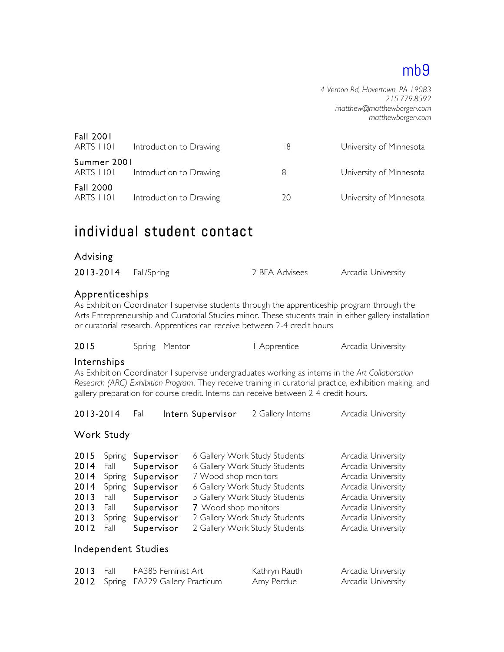*4 Vernon Rd, Havertown, PA 19083 215.779.8592 matthew@matthewborgen.com matthewborgen.com*

| <b>Fall 2001</b><br><b>ARTS 1101</b> | Introduction to Drawing | 18 | University of Minnesota |
|--------------------------------------|-------------------------|----|-------------------------|
| Summer 2001<br><b>ARTS 1101</b>      | Introduction to Drawing | 8  | University of Minnesota |
| Fall 2000<br>ARTS 1101               | Introduction to Drawing | 20 | University of Minnesota |

## individual student contact

#### Advising

| 2013-2014 Fall/Spring |  | 2 BFA Advisees | Arcadia University |
|-----------------------|--|----------------|--------------------|
|-----------------------|--|----------------|--------------------|

#### Apprenticeships

As Exhibition Coordinator I supervise students through the apprenticeship program through the Arts Entrepreneurship and Curatorial Studies minor. These students train in either gallery installation or curatorial research. Apprentices can receive between 2-4 credit hours

| 2015 | Spring Mentor | Apprentice | Arcadia University |
|------|---------------|------------|--------------------|
|------|---------------|------------|--------------------|

#### Internships

As Exhibition Coordinator I supervise undergraduates working as interns in the *Art Collaboration Research (ARC) Exhibition Program*. They receive training in curatorial practice, exhibition making, and gallery preparation for course credit. Interns can receive between 2-4 credit hours.

| 2013-2014 |  | Fall <b>Intern Supervisor</b> 2 Gallery Interns |  | Arcadia University |
|-----------|--|-------------------------------------------------|--|--------------------|
|-----------|--|-------------------------------------------------|--|--------------------|

#### Work Study

|      | 2015 Spring | Supervisor      | 6 Gallery Work Study Students | Arcadia University |
|------|-------------|-----------------|-------------------------------|--------------------|
| 2014 |             | Fall Supervisor | 6 Gallery Work Study Students | Arcadia University |
| 2014 | Spring      | Supervisor      | 7 Wood shop monitors          | Arcadia University |
| 2014 | Spring      | Supervisor      | 6 Gallery Work Study Students | Arcadia University |
| 2013 | Fall        | Supervisor      | 5 Gallery Work Study Students | Arcadia University |
| 2013 | Fall        | Supervisor      | 7 Wood shop monitors          | Arcadia University |
| 2013 | Spring      | Supervisor      | 2 Gallery Work Study Students | Arcadia University |
| 2012 | Fall        | Supervisor      | 2 Gallery Work Study Students | Arcadia University |
|      |             |                 |                               |                    |

#### Independent Studies

| <b>2013</b> Fall | FA385 Feminist Art                  | Kathryn Rauth | Arcadia University |
|------------------|-------------------------------------|---------------|--------------------|
|                  | 2012 Spring FA229 Gallery Practicum | Amy Perdue    | Arcadia University |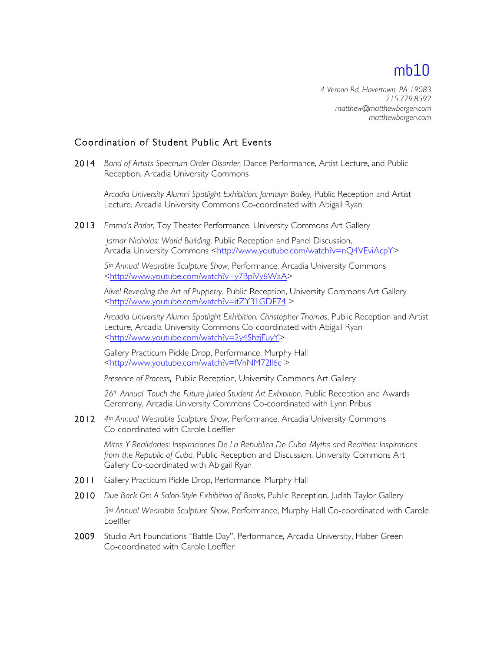*4 Vernon Rd, Havertown, PA 19083 215.779.8592 matthew@matthewborgen.com matthewborgen.com*

#### Coordination of Student Public Art Events

2014 *Band of Artists Spectrum Order Disorder,* Dance Performance, Artist Lecture, and Public Reception, Arcadia University Commons

*Arcadia University Alumni Spotlight Exhibition: Jannalyn Bailey,* Public Reception and Artist Lecture, Arcadia University Commons Co-coordinated with Abigail Ryan

2013 *Emma's Parlor,* Toy Theater Performance, University Commons Art Gallery

*Jamar Nicholas: World Building*, Public Reception and Panel Discussion, Arcadia University Commons <http://www.youtube.com/watch?v=nQ4VEviAcpY>

*5th Annual Wearable Sculpture Show*, Performance, Arcadia University Commons <http://www.youtube.com/watch?v=y7BpiVy6WaA>

*Alive! Revealing the Art of Puppetry*, Public Reception, University Commons Art Gallery <http://www.youtube.com/watch?v=itZY31GDE74 >

*Arcadia University Alumni Spotlight Exhibition: Christopher Thomas*, Public Reception and Artist Lecture, Arcadia University Commons Co-coordinated with Abigail Ryan <http://www.youtube.com/watch?v=2y4ShzjFuyY>

Gallery Practicum Pickle Drop, Performance, Murphy Hall <http://www.youtube.com/watch?v=fVhNM72ll6c >

*Presence of Process*, Public Reception, University Commons Art Gallery

*26th Annual 'Touch the Future Juried Student Art Exhibition*, Public Reception and Awards Ceremony, Arcadia University Commons Co-coordinated with Lynn Pribus

2012 *4th Annual Wearable Sculpture Show*, Performance, Arcadia University Commons Co-coordinated with Carole Loeffler

*Mitos Y Realidades: Inspiraciones De La Republica De Cuba Myths and Realities: Inspirations from the Republic of Cuba,* Public Reception and Discussion, University Commons Art Gallery Co-coordinated with Abigail Ryan

- 2011 Gallery Practicum Pickle Drop, Performance, Murphy Hall
- 2010 *Due Back On: A Salon-Style Exhibition of Books*, Public Reception, Judith Taylor Gallery

*3rd Annual Wearable Sculpture Show*, Performance, Murphy Hall Co-coordinated with Carole Loeffler

2009 Studio Art Foundations "Battle Day", Performance, Arcadia University, Haber Green Co-coordinated with Carole Loeffler